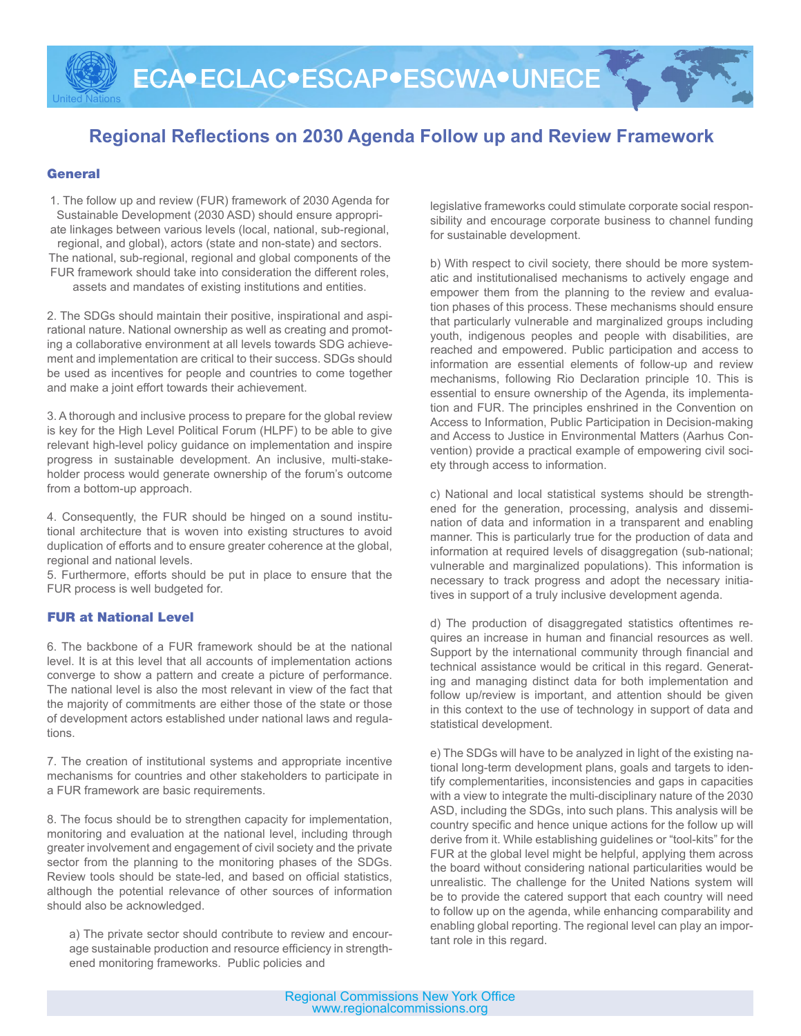# **Regional Reflections on 2030 Agenda Follow up and Review Framework**

#### **General**

United Nations

1. The follow up and review (FUR) framework of 2030 Agenda for Sustainable Development (2030 ASD) should ensure appropriate linkages between various levels (local, national, sub-regional, regional, and global), actors (state and non-state) and sectors. The national, sub-regional, regional and global components of the FUR framework should take into consideration the different roles, assets and mandates of existing institutions and entities.

2. The SDGs should maintain their positive, inspirational and aspirational nature. National ownership as well as creating and promoting a collaborative environment at all levels towards SDG achievement and implementation are critical to their success. SDGs should be used as incentives for people and countries to come together and make a joint effort towards their achievement.

3. A thorough and inclusive process to prepare for the global review is key for the High Level Political Forum (HLPF) to be able to give relevant high-level policy guidance on implementation and inspire progress in sustainable development. An inclusive, multi-stakeholder process would generate ownership of the forum's outcome from a bottom-up approach.

4. Consequently, the FUR should be hinged on a sound institutional architecture that is woven into existing structures to avoid duplication of efforts and to ensure greater coherence at the global, regional and national levels.

5. Furthermore, efforts should be put in place to ensure that the FUR process is well budgeted for.

#### FUR at National Level

6. The backbone of a FUR framework should be at the national level. It is at this level that all accounts of implementation actions converge to show a pattern and create a picture of performance. The national level is also the most relevant in view of the fact that the majority of commitments are either those of the state or those of development actors established under national laws and regulations.

7. The creation of institutional systems and appropriate incentive mechanisms for countries and other stakeholders to participate in a FUR framework are basic requirements.

8. The focus should be to strengthen capacity for implementation, monitoring and evaluation at the national level, including through greater involvement and engagement of civil society and the private sector from the planning to the monitoring phases of the SDGs. Review tools should be state-led, and based on official statistics, although the potential relevance of other sources of information should also be acknowledged.

a) The private sector should contribute to review and encourage sustainable production and resource efficiency in strengthened monitoring frameworks. Public policies and

legislative frameworks could stimulate corporate social responsibility and encourage corporate business to channel funding for sustainable development.

b) With respect to civil society, there should be more systematic and institutionalised mechanisms to actively engage and empower them from the planning to the review and evaluation phases of this process. These mechanisms should ensure that particularly vulnerable and marginalized groups including youth, indigenous peoples and people with disabilities, are reached and empowered. Public participation and access to information are essential elements of follow-up and review mechanisms, following Rio Declaration principle 10. This is essential to ensure ownership of the Agenda, its implementation and FUR. The principles enshrined in the Convention on Access to Information, Public Participation in Decision-making and Access to Justice in Environmental Matters (Aarhus Convention) provide a practical example of empowering civil society through access to information.

c) National and local statistical systems should be strengthened for the generation, processing, analysis and dissemination of data and information in a transparent and enabling manner. This is particularly true for the production of data and information at required levels of disaggregation (sub-national; vulnerable and marginalized populations). This information is necessary to track progress and adopt the necessary initiatives in support of a truly inclusive development agenda.

d) The production of disaggregated statistics oftentimes requires an increase in human and financial resources as well. Support by the international community through financial and technical assistance would be critical in this regard. Generating and managing distinct data for both implementation and follow up/review is important, and attention should be given in this context to the use of technology in support of data and statistical development.

e) The SDGs will have to be analyzed in light of the existing national long-term development plans, goals and targets to identify complementarities, inconsistencies and gaps in capacities with a view to integrate the multi-disciplinary nature of the 2030 ASD, including the SDGs, into such plans. This analysis will be country specific and hence unique actions for the follow up will derive from it. While establishing guidelines or "tool-kits" for the FUR at the global level might be helpful, applying them across the board without considering national particularities would be unrealistic. The challenge for the United Nations system will be to provide the catered support that each country will need to follow up on the agenda, while enhancing comparability and enabling global reporting. The regional level can play an important role in this regard.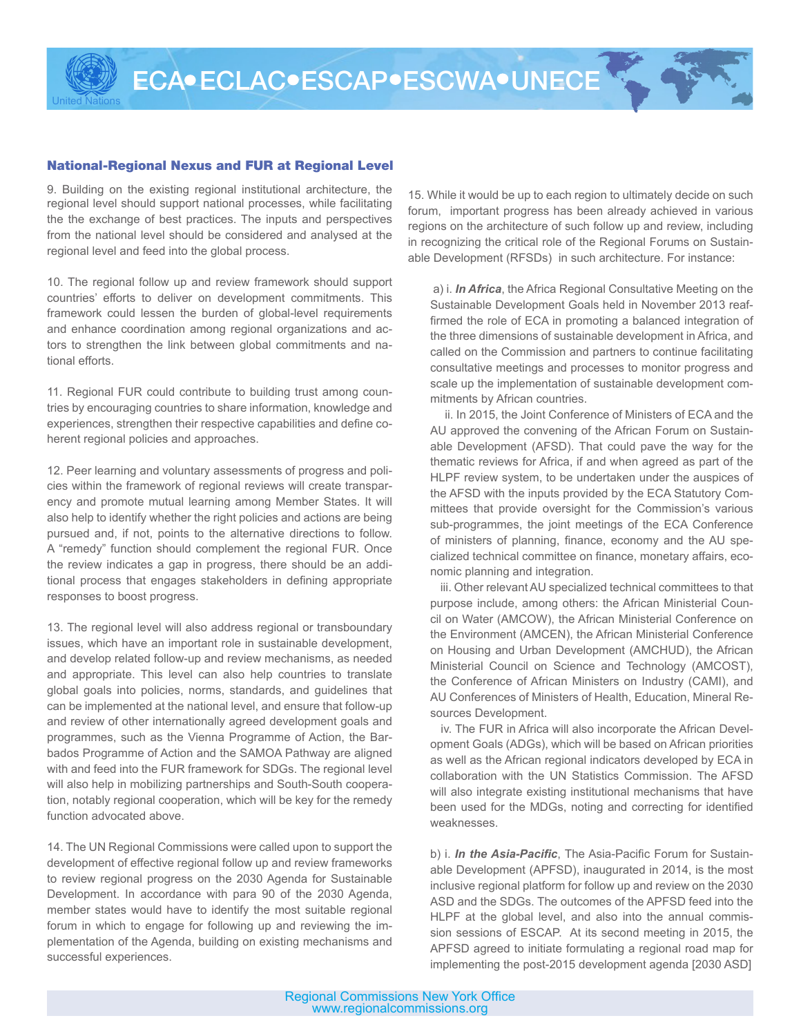## National-Regional Nexus and FUR at Regional Level

United Nations

9. Building on the existing regional institutional architecture, the regional level should support national processes, while facilitating the the exchange of best practices. The inputs and perspectives from the national level should be considered and analysed at the regional level and feed into the global process.

10. The regional follow up and review framework should support countries' efforts to deliver on development commitments. This framework could lessen the burden of global-level requirements and enhance coordination among regional organizations and actors to strengthen the link between global commitments and national efforts.

11. Regional FUR could contribute to building trust among countries by encouraging countries to share information, knowledge and experiences, strengthen their respective capabilities and define coherent regional policies and approaches.

12. Peer learning and voluntary assessments of progress and policies within the framework of regional reviews will create transparency and promote mutual learning among Member States. It will also help to identify whether the right policies and actions are being pursued and, if not, points to the alternative directions to follow. A "remedy" function should complement the regional FUR. Once the review indicates a gap in progress, there should be an additional process that engages stakeholders in defining appropriate responses to boost progress.

13. The regional level will also address regional or transboundary issues, which have an important role in sustainable development, and develop related follow-up and review mechanisms, as needed and appropriate. This level can also help countries to translate global goals into policies, norms, standards, and guidelines that can be implemented at the national level, and ensure that follow-up and review of other internationally agreed development goals and programmes, such as the Vienna Programme of Action, the Barbados Programme of Action and the SAMOA Pathway are aligned with and feed into the FUR framework for SDGs. The regional level will also help in mobilizing partnerships and South-South cooperation, notably regional cooperation, which will be key for the remedy function advocated above.

14. The UN Regional Commissions were called upon to support the development of effective regional follow up and review frameworks to review regional progress on the 2030 Agenda for Sustainable Development. In accordance with para 90 of the 2030 Agenda, member states would have to identify the most suitable regional forum in which to engage for following up and reviewing the implementation of the Agenda, building on existing mechanisms and successful experiences.

15. While it would be up to each region to ultimately decide on such forum, important progress has been already achieved in various regions on the architecture of such follow up and review, including in recognizing the critical role of the Regional Forums on Sustainable Development (RFSDs) in such architecture. For instance:

 a) i. *In Africa*, the Africa Regional Consultative Meeting on the Sustainable Development Goals held in November 2013 reaffirmed the role of ECA in promoting a balanced integration of the three dimensions of sustainable development in Africa, and called on the Commission and partners to continue facilitating consultative meetings and processes to monitor progress and scale up the implementation of sustainable development commitments by African countries.

 ii. In 2015, the Joint Conference of Ministers of ECA and the AU approved the convening of the African Forum on Sustainable Development (AFSD). That could pave the way for the thematic reviews for Africa, if and when agreed as part of the HLPF review system, to be undertaken under the auspices of the AFSD with the inputs provided by the ECA Statutory Committees that provide oversight for the Commission's various sub-programmes, the joint meetings of the ECA Conference of ministers of planning, finance, economy and the AU specialized technical committee on finance, monetary affairs, economic planning and integration.

 iii. Other relevant AU specialized technical committees to that purpose include, among others: the African Ministerial Council on Water (AMCOW), the African Ministerial Conference on the Environment (AMCEN), the African Ministerial Conference on Housing and Urban Development (AMCHUD), the African Ministerial Council on Science and Technology (AMCOST), the Conference of African Ministers on Industry (CAMI), and AU Conferences of Ministers of Health, Education, Mineral Resources Development.

 iv. The FUR in Africa will also incorporate the African Development Goals (ADGs), which will be based on African priorities as well as the African regional indicators developed by ECA in collaboration with the UN Statistics Commission. The AFSD will also integrate existing institutional mechanisms that have been used for the MDGs, noting and correcting for identified weaknesses.

b) i. *In the Asia-Pacific*, The Asia-Pacific Forum for Sustainable Development (APFSD), inaugurated in 2014, is the most inclusive regional platform for follow up and review on the 2030 ASD and the SDGs. The outcomes of the APFSD feed into the HLPF at the global level, and also into the annual commission sessions of ESCAP. At its second meeting in 2015, the APFSD agreed to initiate formulating a regional road map for implementing the post-2015 development agenda [2030 ASD]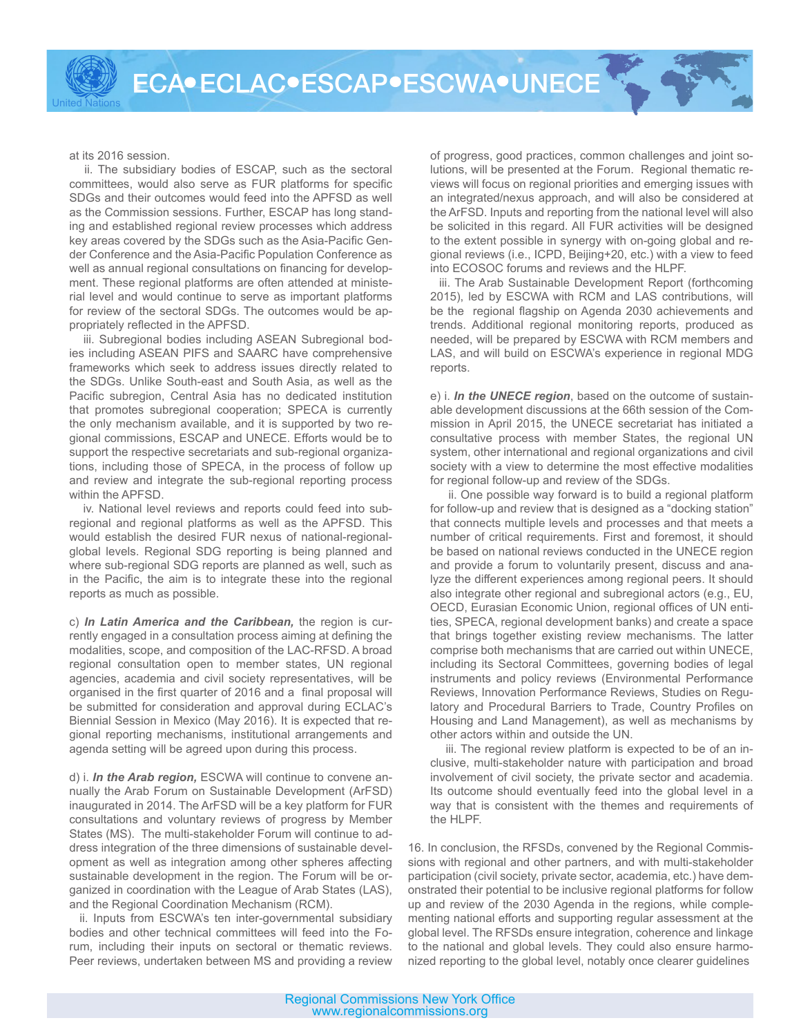at its 2016 session.

United Nations

 ii. The subsidiary bodies of ESCAP, such as the sectoral committees, would also serve as FUR platforms for specific SDGs and their outcomes would feed into the APFSD as well as the Commission sessions. Further, ESCAP has long standing and established regional review processes which address key areas covered by the SDGs such as the Asia-Pacific Gender Conference and the Asia-Pacific Population Conference as well as annual regional consultations on financing for development. These regional platforms are often attended at ministerial level and would continue to serve as important platforms for review of the sectoral SDGs. The outcomes would be appropriately reflected in the APFSD.

iii. Subregional bodies including ASEAN Subregional bodies including ASEAN PIFS and SAARC have comprehensive frameworks which seek to address issues directly related to the SDGs. Unlike South-east and South Asia, as well as the Pacific subregion, Central Asia has no dedicated institution that promotes subregional cooperation; SPECA is currently the only mechanism available, and it is supported by two regional commissions, ESCAP and UNECE. Efforts would be to support the respective secretariats and sub-regional organizations, including those of SPECA, in the process of follow up and review and integrate the sub-regional reporting process within the APFSD.

 iv. National level reviews and reports could feed into subregional and regional platforms as well as the APFSD. This would establish the desired FUR nexus of national-regionalglobal levels. Regional SDG reporting is being planned and where sub-regional SDG reports are planned as well, such as in the Pacific, the aim is to integrate these into the regional reports as much as possible.

c) *In Latin America and the Caribbean,* the region is currently engaged in a consultation process aiming at defining the modalities, scope, and composition of the LAC-RFSD. A broad regional consultation open to member states, UN regional agencies, academia and civil society representatives, will be organised in the first quarter of 2016 and a final proposal will be submitted for consideration and approval during ECLAC's Biennial Session in Mexico (May 2016). It is expected that regional reporting mechanisms, institutional arrangements and agenda setting will be agreed upon during this process.

d) i. *In the Arab region,* ESCWA will continue to convene annually the Arab Forum on Sustainable Development (ArFSD) inaugurated in 2014. The ArFSD will be a key platform for FUR consultations and voluntary reviews of progress by Member States (MS). The multi-stakeholder Forum will continue to address integration of the three dimensions of sustainable development as well as integration among other spheres affecting sustainable development in the region. The Forum will be organized in coordination with the League of Arab States (LAS), and the Regional Coordination Mechanism (RCM).

 ii. Inputs from ESCWA's ten inter-governmental subsidiary bodies and other technical committees will feed into the Forum, including their inputs on sectoral or thematic reviews. Peer reviews, undertaken between MS and providing a review

of progress, good practices, common challenges and joint solutions, will be presented at the Forum. Regional thematic reviews will focus on regional priorities and emerging issues with an integrated/nexus approach, and will also be considered at the ArFSD. Inputs and reporting from the national level will also be solicited in this regard. All FUR activities will be designed to the extent possible in synergy with on-going global and regional reviews (i.e., ICPD, Beijing+20, etc.) with a view to feed into ECOSOC forums and reviews and the HLPF.

 iii. The Arab Sustainable Development Report (forthcoming 2015), led by ESCWA with RCM and LAS contributions, will be the regional flagship on Agenda 2030 achievements and trends. Additional regional monitoring reports, produced as needed, will be prepared by ESCWA with RCM members and LAS, and will build on ESCWA's experience in regional MDG reports.

e) i. *In the UNECE region*, based on the outcome of sustainable development discussions at the 66th session of the Commission in April 2015, the UNECE secretariat has initiated a consultative process with member States, the regional UN system, other international and regional organizations and civil society with a view to determine the most effective modalities for regional follow-up and review of the SDGs.

 ii. One possible way forward is to build a regional platform for follow-up and review that is designed as a "docking station" that connects multiple levels and processes and that meets a number of critical requirements. First and foremost, it should be based on national reviews conducted in the UNECE region and provide a forum to voluntarily present, discuss and analyze the different experiences among regional peers. It should also integrate other regional and subregional actors (e.g., EU, OECD, Eurasian Economic Union, regional offices of UN entities, SPECA, regional development banks) and create a space that brings together existing review mechanisms. The latter comprise both mechanisms that are carried out within UNECE, including its Sectoral Committees, governing bodies of legal instruments and policy reviews (Environmental Performance Reviews, Innovation Performance Reviews, Studies on Regulatory and Procedural Barriers to Trade, Country Profiles on Housing and Land Management), as well as mechanisms by other actors within and outside the UN.

iii. The regional review platform is expected to be of an inclusive, multi-stakeholder nature with participation and broad involvement of civil society, the private sector and academia. Its outcome should eventually feed into the global level in a way that is consistent with the themes and requirements of the HLPF.

16. In conclusion, the RFSDs, convened by the Regional Commissions with regional and other partners, and with multi-stakeholder participation (civil society, private sector, academia, etc.) have demonstrated their potential to be inclusive regional platforms for follow up and review of the 2030 Agenda in the regions, while complementing national efforts and supporting regular assessment at the global level. The RFSDs ensure integration, coherence and linkage to the national and global levels. They could also ensure harmonized reporting to the global level, notably once clearer guidelines